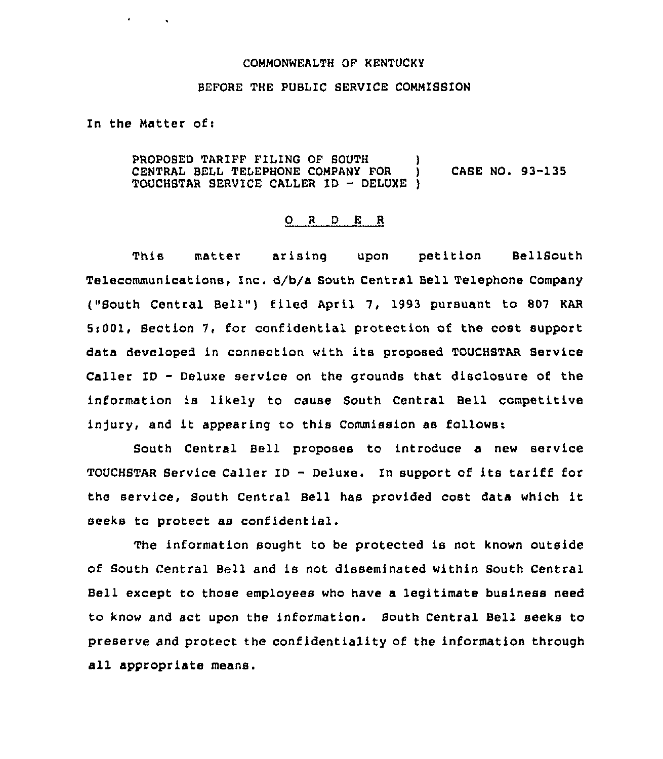## COMMONWEALTH OF KENTUCKY

## BEFORE THE PUBLIC SERVICE COMMISSION

In the Matter of:

 $\mathbf{r} = \mathbf{r} \times \mathbf{r}$  ,  $\mathbf{r} = \mathbf{r}$ 

PROPOSED TARIFF FILING OF SOUTH CENTRAL BELL TELEPHONE COMPANY FOR  $\vert$  CASE NO. 93-135 TOUCHSTAR SERVICE CALLER ID — DELUXE )

## 0 <sup>R</sup> <sup>D</sup> E <sup>R</sup>

This matter arising upon petition BellSouth Telecommunications, Inc. d/b/a South Central Bell Telephone Company ("South Central Bell") filed April 7, 1993 pursuant to 807 KAR 5:001, Section 7, for confidential protection of the cost support data developed in connection with its proposed TOUCHSTAR Service Caller ID — Deluxe service on the grounds that disclosure of the information is likely to cause South Central Bell competitive injury, and it appearing to this Commission as follows:

South Central Bell proposes to introduce a new service TOUCHSTAR Service Caller ID — Deluxe. In support of its tariff for the service, South Central Bell has provided cost data which it seeks to protect as confidential.

The information sought to be protected is not known outside of South Central Bell and is not disseminated within South Central Bell except to those employees who have a legitimate business need to know and act upon the information. South Central Bell seeks to preserve and protect the confidentiality of the information through all appropriate means.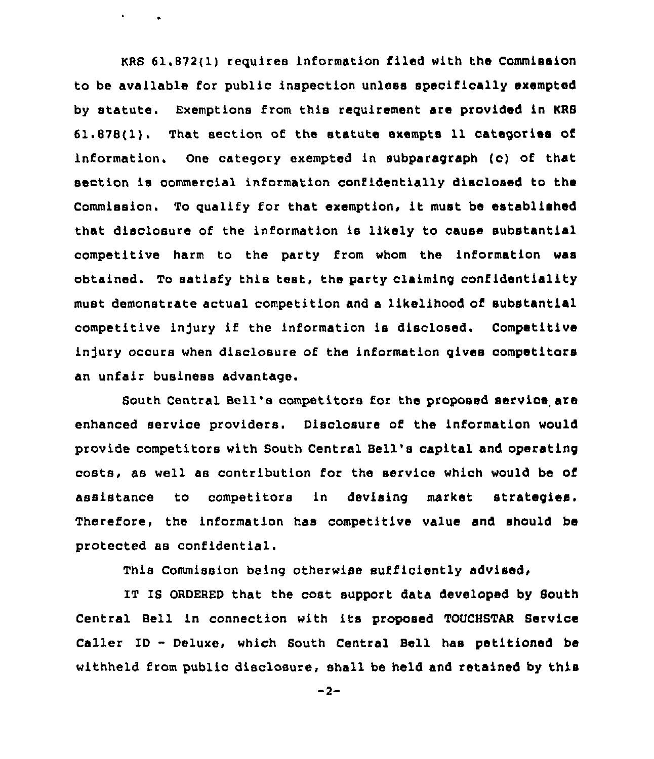KRS 61.872(1) requires information filed with the Commission to be available for public inspection unless specifically exempted by statute. Exemptions from this requirement are provided in KRB 61.878(1). That section of the statute exempts 11 categories of information. One category exempted in subparagraph (c) of that section is commercial information confidentially disclosed to the Commission. To qualify for that exemption, it must be established that disclosure of the information is likely to cause substantial competitive harm to the party from whom the information was obtained. To satisfy this test, the party claiming confidentiality must demonstrate actual competition and a likelihood of substantial competitive injury if the information is disclosed. Competitive injury occurs when disclosure of the information gives competitors an unfair business advantage.

 $\mathbf{v} = \mathbf{v} \times \mathbf{v}$  .

South Central Bell's competitors for the proposed service are enhanced service providers. Disclosure of the information would provide competitors with South Central Bell's capital and operating costs, as well as contribution for the service which would be of assistance to competitors in devising market strategies. Therefore, the information has competitive value and should be protected as confidential.

This Commission being otherwise sufficiently advised,

IT IS ORDERED that the cost support data developed by South Central Bell in connection with its proposed TOUCHSTAR Service Caller ID — Deluxe, which South Central Bell has petitioned be withheld from public disclosure, shall be held and retained by this

 $-2-$